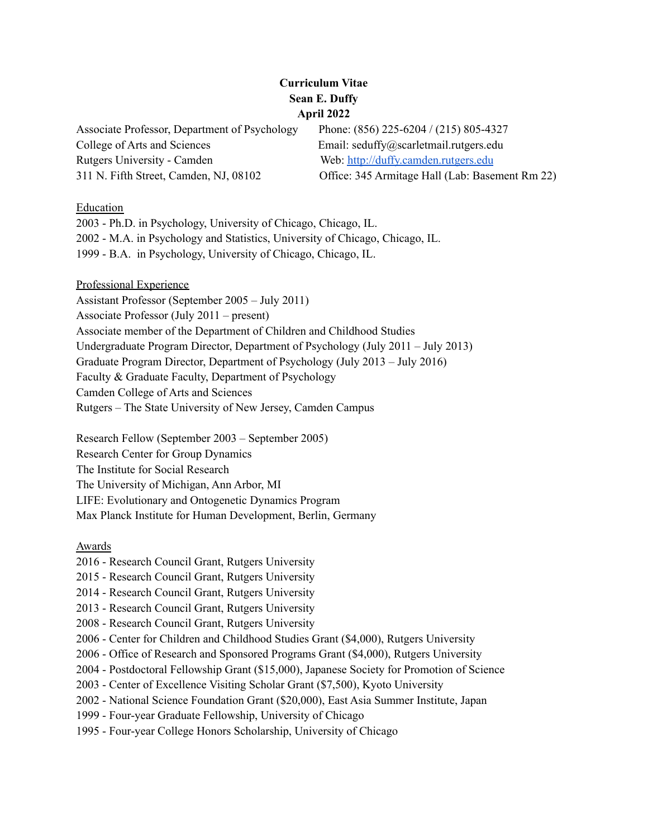# **Curriculum Vitae Sean E. Duffy April 2022**

Associate Professor, Department of Psychology Phone: (856) 225-6204 / (215) 805-4327 College of Arts and Sciences Email: seduffy@scarletmail.rutgers.edu Rutgers University - Camden Web: [http://duffy.camden.rutgers.edu](http://duffy.camden.rutgers.edu/) 311 N. Fifth Street, Camden, NJ, 08102 Office: 345 Armitage Hall (Lab: Basement Rm 22)

### Education

2003 - Ph.D. in Psychology, University of Chicago, Chicago, IL. 2002 - M.A. in Psychology and Statistics, University of Chicago, Chicago, IL. 1999 - B.A. in Psychology, University of Chicago, Chicago, IL.

Professional Experience Assistant Professor (September 2005 – July 2011) Associate Professor (July 2011 – present) Associate member of the Department of Children and Childhood Studies Undergraduate Program Director, Department of Psychology (July 2011 – July 2013) Graduate Program Director, Department of Psychology (July 2013 – July 2016) Faculty & Graduate Faculty, Department of Psychology Camden College of Arts and Sciences Rutgers – The State University of New Jersey, Camden Campus

Research Fellow (September 2003 – September 2005) Research Center for Group Dynamics The Institute for Social Research The University of Michigan, Ann Arbor, MI LIFE: Evolutionary and Ontogenetic Dynamics Program Max Planck Institute for Human Development, Berlin, Germany

#### Awards

- 2016 Research Council Grant, Rutgers University
- 2015 Research Council Grant, Rutgers University
- 2014 Research Council Grant, Rutgers University
- 2013 Research Council Grant, Rutgers University
- 2008 Research Council Grant, Rutgers University
- 2006 Center for Children and Childhood Studies Grant (\$4,000), Rutgers University
- 2006 Office of Research and Sponsored Programs Grant (\$4,000), Rutgers University
- 2004 Postdoctoral Fellowship Grant (\$15,000), Japanese Society for Promotion of Science
- 2003 Center of Excellence Visiting Scholar Grant (\$7,500), Kyoto University
- 2002 National Science Foundation Grant (\$20,000), East Asia Summer Institute, Japan
- 1999 Four-year Graduate Fellowship, University of Chicago
- 1995 Four-year College Honors Scholarship, University of Chicago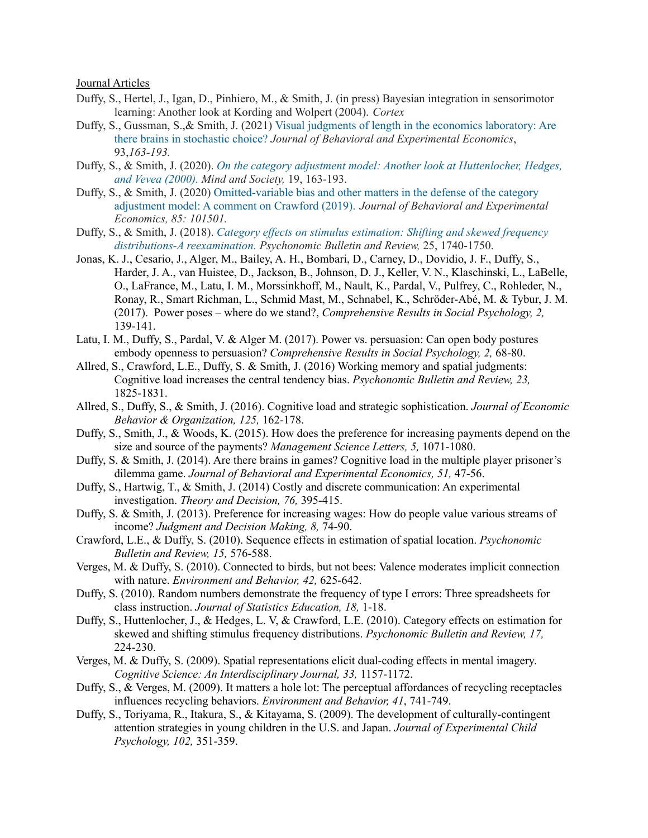Journal Articles

- Duffy, S., Hertel, J., Igan, D., Pinhiero, M., & Smith, J. (in press) Bayesian integration in sensorimotor learning: Another look at Kording and Wolpert (2004). *Cortex*
- Duffy, S., Gussman, S.,& Smith, J. (2021) Visual judgments of length in the economics [laboratory:](https://www.sciencedirect.com/science/article/abs/pii/S2214804321000483) Are there brains in [stochastic](https://www.sciencedirect.com/science/article/abs/pii/S2214804321000483) choice? *Journal of Behavioral and Experimental Economics*, 93,*163-193.*
- Duffy, S., & Smith, J. (2020). *On the category adjustment model: Another look at [Huttenlocher,](https://link.springer.com/article/10.1007/s11299-020-00229-1) Hedges, and Vevea [\(2000\).](https://link.springer.com/article/10.1007/s11299-020-00229-1) Mind and Society,* 19, 163-193.
- Duffy, S., & Smith, J. (2020) [Omitted-variable](https://www.sciencedirect.com/science/article/abs/pii/S2214804319303520) bias and other matters in the defense of the category [adjustment](https://www.sciencedirect.com/science/article/abs/pii/S2214804319303520) model: A comment on Crawford (2019). *Journal of Behavioral and Experimental Economics, 85: 101501.*
- Duffy, S., & Smith, J. (2018). *Category ef ects on stimulus [estimation:](https://link.springer.com/article/10.3758/s13423-017-1392-7) Shifting and skewed frequency [distributions-A](https://link.springer.com/article/10.3758/s13423-017-1392-7) reexamination. Psychonomic Bulletin and Review,* 25, 1740-1750.
- Jonas, K. J., Cesario, J., Alger, M., Bailey, A. H., Bombari, D., Carney, D., Dovidio, J. F., Duffy, S., Harder, J. A., van Huistee, D., Jackson, B., Johnson, D. J., Keller, V. N., Klaschinski, L., LaBelle, O., LaFrance, M., Latu, I. M., Morssinkhoff, M., Nault, K., Pardal, V., Pulfrey, C., Rohleder, N., Ronay, R., Smart Richman, L., Schmid Mast, M., Schnabel, K., Schröder-Abé, M. & Tybur, J. M. (2017). Power poses – where do we stand?, *Comprehensive Results in Social Psychology, 2,* 139-141.
- Latu, I. M., Duffy, S., Pardal, V. & Alger M. (2017). Power vs. persuasion: Can open body postures embody openness to persuasion? *Comprehensive Results in Social Psychology, 2,* 68-80.
- Allred, S., Crawford, L.E., Duffy, S. & Smith, J. (2016) Working memory and spatial judgments: Cognitive load increases the central tendency bias. *Psychonomic Bulletin and Review, 23,* 1825-1831.
- Allred, S., Duffy, S., & Smith, J. (2016). Cognitive load and strategic sophistication. *Journal of Economic Behavior & Organization, 125,* 162-178.
- Duffy, S., Smith, J., & Woods, K. (2015). How does the preference for increasing payments depend on the size and source of the payments? *Management Science Letters, 5,* 1071-1080.
- Duffy, S. & Smith, J. (2014). Are there brains in games? Cognitive load in the multiple player prisoner's dilemma game. *Journal of Behavioral and Experimental Economics, 51,* 47-56.
- Duffy, S., Hartwig, T., & Smith, J. (2014) Costly and discrete communication: An experimental investigation. *Theory and Decision, 76,* 395-415.
- Duffy, S. & Smith, J. (2013). Preference for increasing wages: How do people value various streams of income? *Judgment and Decision Making, 8,* 74-90.
- Crawford, L.E., & Duffy, S. (2010). Sequence effects in estimation of spatial location. *Psychonomic Bulletin and Review, 15,* 576-588.
- Verges, M. & Duffy, S. (2010). Connected to birds, but not bees: Valence moderates implicit connection with nature. *Environment and Behavior, 42,* 625-642.
- Duffy, S. (2010). Random numbers demonstrate the frequency of type I errors: Three spreadsheets for class instruction. *Journal of Statistics Education, 18,* 1-18.
- Duffy, S., Huttenlocher, J., & Hedges, L. V, & Crawford, L.E. (2010). Category effects on estimation for skewed and shifting stimulus frequency distributions. *Psychonomic Bulletin and Review, 17,* 224-230.
- Verges, M. & Duffy, S. (2009). Spatial representations elicit dual-coding effects in mental imagery. *Cognitive Science: An Interdisciplinary Journal, 33,* 1157-1172.
- Duffy, S., & Verges, M. (2009). It matters a hole lot: The perceptual affordances of recycling receptacles influences recycling behaviors. *Environment and Behavior, 41*, 741-749.
- Duffy, S., Toriyama, R., Itakura, S., & Kitayama, S. (2009). The development of culturally-contingent attention strategies in young children in the U.S. and Japan. *Journal of Experimental Child Psychology, 102,* 351-359.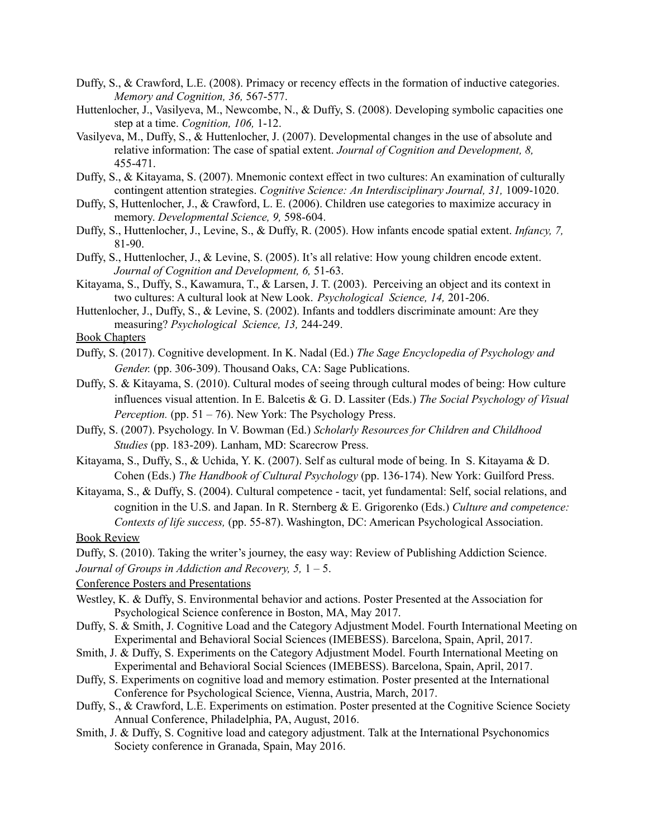- Duffy, S., & Crawford, L.E. (2008). Primacy or recency effects in the formation of inductive categories. *Memory and Cognition, 36,* 567-577.
- Huttenlocher, J., Vasilyeva, M., Newcombe, N., & Duffy, S. (2008). Developing symbolic capacities one step at a time. *Cognition, 106,* 1-12.
- Vasilyeva, M., Duffy, S., & Huttenlocher, J. (2007). Developmental changes in the use of absolute and relative information: The case of spatial extent. *Journal of Cognition and Development, 8,* 455-471.
- Duffy, S., & Kitayama, S. (2007). Mnemonic context effect in two cultures: An examination of culturally contingent attention strategies. *Cognitive Science: An Interdisciplinary Journal, 31,* 1009-1020.
- Duffy, S, Huttenlocher, J., & Crawford, L. E. (2006). Children use categories to maximize accuracy in memory. *Developmental Science, 9,* 598-604.
- Duffy, S., Huttenlocher, J., Levine, S., & Duffy, R. (2005). How infants encode spatial extent. *Infancy, 7,* 81-90.
- Duffy, S., Huttenlocher, J., & Levine, S. (2005). It's all relative: How young children encode extent. *Journal of Cognition and Development, 6,* 51-63.
- Kitayama, S., Duffy, S., Kawamura, T., & Larsen, J. T. (2003). Perceiving an object and its context in two cultures: A cultural look at New Look. *Psychological Science, 14,* 201-206.
- Huttenlocher, J., Duffy, S., & Levine, S. (2002). Infants and toddlers discriminate amount: Are they measuring? *Psychological Science, 13,* 244-249.
- Book Chapters
- Duffy, S. (2017). Cognitive development. In K. Nadal (Ed.) *The Sage Encyclopedia of Psychology and Gender.* (pp. 306-309). Thousand Oaks, CA: Sage Publications.
- Duffy, S. & Kitayama, S. (2010). Cultural modes of seeing through cultural modes of being: How culture influences visual attention. In E. Balcetis & G. D. Lassiter (Eds.) *The Social Psychology of Visual Perception.* (pp. 51 – 76). New York: The Psychology Press.
- Duffy, S. (2007). Psychology. In V. Bowman (Ed.) *Scholarly Resources for Children and Childhood Studies* (pp. 183-209). Lanham, MD: Scarecrow Press.
- Kitayama, S., Duffy, S., & Uchida, Y. K. (2007). Self as cultural mode of being. In S. Kitayama & D. Cohen (Eds.) *The Handbook of Cultural Psychology* (pp. 136-174). New York: Guilford Press.
- Kitayama, S., & Duffy, S. (2004). Cultural competence tacit, yet fundamental: Self, social relations, and cognition in the U.S. and Japan. In R. Sternberg & E. Grigorenko (Eds.) *Culture and competence: Contexts of life success,* (pp. 55-87). Washington, DC: American Psychological Association. Book Review

Duffy, S. (2010). Taking the writer's journey, the easy way: Review of Publishing Addiction Science.

*Journal of Groups in Addiction and Recovery, 5,* 1 – 5.

Conference Posters and Presentations

- Westley, K. & Duffy, S. Environmental behavior and actions. Poster Presented at the Association for Psychological Science conference in Boston, MA, May 2017.
- Duffy, S. & Smith, J. Cognitive Load and the Category Adjustment Model. Fourth International Meeting on Experimental and Behavioral Social Sciences (IMEBESS). Barcelona, Spain, April, 2017.
- Smith, J. & Duffy, S. Experiments on the Category Adjustment Model. Fourth International Meeting on Experimental and Behavioral Social Sciences (IMEBESS). Barcelona, Spain, April, 2017.
- Duffy, S. Experiments on cognitive load and memory estimation. Poster presented at the International Conference for Psychological Science, Vienna, Austria, March, 2017.
- Duffy, S., & Crawford, L.E. Experiments on estimation. Poster presented at the Cognitive Science Society Annual Conference, Philadelphia, PA, August, 2016.
- Smith, J. & Duffy, S. Cognitive load and category adjustment. Talk at the International Psychonomics Society conference in Granada, Spain, May 2016.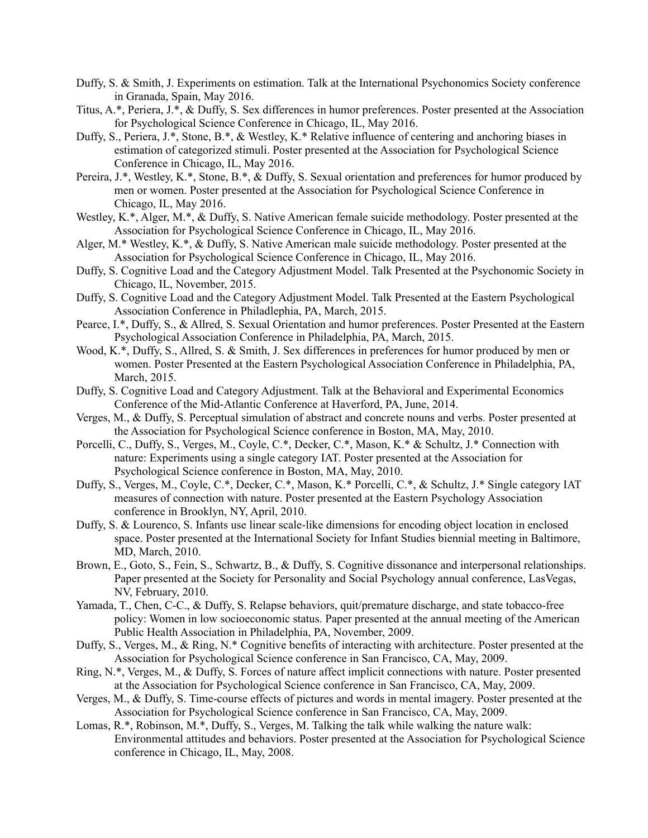- Duffy, S. & Smith, J. Experiments on estimation. Talk at the International Psychonomics Society conference in Granada, Spain, May 2016.
- Titus, A.\*, Periera, J.\*, & Duffy, S. Sex differences in humor preferences. Poster presented at the Association for Psychological Science Conference in Chicago, IL, May 2016.
- Duffy, S., Periera, J.\*, Stone, B.\*, & Westley, K.\* Relative influence of centering and anchoring biases in estimation of categorized stimuli. Poster presented at the Association for Psychological Science Conference in Chicago, IL, May 2016.
- Pereira, J.\*, Westley, K.\*, Stone, B.\*, & Duffy, S. Sexual orientation and preferences for humor produced by men or women. Poster presented at the Association for Psychological Science Conference in Chicago, IL, May 2016.
- Westley, K.\*, Alger, M.\*, & Duffy, S. Native American female suicide methodology. Poster presented at the Association for Psychological Science Conference in Chicago, IL, May 2016.
- Alger, M.\* Westley, K.\*, & Duffy, S. Native American male suicide methodology. Poster presented at the Association for Psychological Science Conference in Chicago, IL, May 2016.
- Duffy, S. Cognitive Load and the Category Adjustment Model. Talk Presented at the Psychonomic Society in Chicago, IL, November, 2015.
- Duffy, S. Cognitive Load and the Category Adjustment Model. Talk Presented at the Eastern Psychological Association Conference in Philadlephia, PA, March, 2015.
- Pearce, I.\*, Duffy, S., & Allred, S. Sexual Orientation and humor preferences. Poster Presented at the Eastern Psychological Association Conference in Philadelphia, PA, March, 2015.
- Wood, K.\*, Duffy, S., Allred, S. & Smith, J. Sex differences in preferences for humor produced by men or women. Poster Presented at the Eastern Psychological Association Conference in Philadelphia, PA, March, 2015.
- Duffy, S. Cognitive Load and Category Adjustment. Talk at the Behavioral and Experimental Economics Conference of the Mid-Atlantic Conference at Haverford, PA, June, 2014.
- Verges, M., & Duffy, S. Perceptual simulation of abstract and concrete nouns and verbs. Poster presented at the Association for Psychological Science conference in Boston, MA, May, 2010.
- Porcelli, C., Duffy, S., Verges, M., Coyle, C.\*, Decker, C.\*, Mason, K.\* & Schultz, J.\* Connection with nature: Experiments using a single category IAT. Poster presented at the Association for Psychological Science conference in Boston, MA, May, 2010.
- Duffy, S., Verges, M., Coyle, C.\*, Decker, C.\*, Mason, K.\* Porcelli, C.\*, & Schultz, J.\* Single category IAT measures of connection with nature. Poster presented at the Eastern Psychology Association conference in Brooklyn, NY, April, 2010.
- Duffy, S. & Lourenco, S. Infants use linear scale-like dimensions for encoding object location in enclosed space. Poster presented at the International Society for Infant Studies biennial meeting in Baltimore, MD, March, 2010.
- Brown, E., Goto, S., Fein, S., Schwartz, B., & Duffy, S. Cognitive dissonance and interpersonal relationships. Paper presented at the Society for Personality and Social Psychology annual conference, LasVegas, NV, February, 2010.
- Yamada, T., Chen, C-C., & Duffy, S. Relapse behaviors, quit/premature discharge, and state tobacco-free policy: Women in low socioeconomic status. Paper presented at the annual meeting of the American Public Health Association in Philadelphia, PA, November, 2009.
- Duffy, S., Verges, M., & Ring, N.\* Cognitive benefits of interacting with architecture. Poster presented at the Association for Psychological Science conference in San Francisco, CA, May, 2009.
- Ring, N.\*, Verges, M., & Duffy, S. Forces of nature affect implicit connections with nature. Poster presented at the Association for Psychological Science conference in San Francisco, CA, May, 2009.
- Verges, M., & Duffy, S. Time-course effects of pictures and words in mental imagery. Poster presented at the Association for Psychological Science conference in San Francisco, CA, May, 2009.
- Lomas, R.\*, Robinson, M.\*, Duffy, S., Verges, M. Talking the talk while walking the nature walk: Environmental attitudes and behaviors. Poster presented at the Association for Psychological Science conference in Chicago, IL, May, 2008.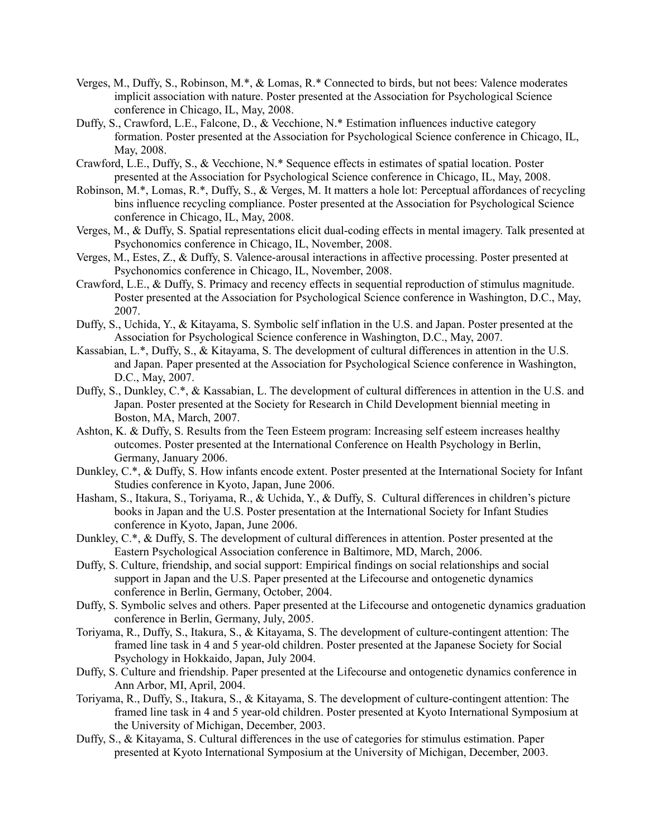- Verges, M., Duffy, S., Robinson, M.\*, & Lomas, R.\* Connected to birds, but not bees: Valence moderates implicit association with nature. Poster presented at the Association for Psychological Science conference in Chicago, IL, May, 2008.
- Duffy, S., Crawford, L.E., Falcone, D., & Vecchione, N.\* Estimation influences inductive category formation. Poster presented at the Association for Psychological Science conference in Chicago, IL, May, 2008.
- Crawford, L.E., Duffy, S., & Vecchione, N.\* Sequence effects in estimates of spatial location. Poster presented at the Association for Psychological Science conference in Chicago, IL, May, 2008.
- Robinson, M.\*, Lomas, R.\*, Duffy, S., & Verges, M. It matters a hole lot: Perceptual affordances of recycling bins influence recycling compliance. Poster presented at the Association for Psychological Science conference in Chicago, IL, May, 2008.
- Verges, M., & Duffy, S. Spatial representations elicit dual-coding effects in mental imagery. Talk presented at Psychonomics conference in Chicago, IL, November, 2008.
- Verges, M., Estes, Z., & Duffy, S. Valence-arousal interactions in affective processing. Poster presented at Psychonomics conference in Chicago, IL, November, 2008.
- Crawford, L.E., & Duffy, S. Primacy and recency effects in sequential reproduction of stimulus magnitude. Poster presented at the Association for Psychological Science conference in Washington, D.C., May, 2007.
- Duffy, S., Uchida, Y., & Kitayama, S. Symbolic self inflation in the U.S. and Japan. Poster presented at the Association for Psychological Science conference in Washington, D.C., May, 2007.
- Kassabian, L.\*, Duffy, S., & Kitayama, S. The development of cultural differences in attention in the U.S. and Japan. Paper presented at the Association for Psychological Science conference in Washington, D.C., May, 2007.
- Duffy, S., Dunkley, C.\*, & Kassabian, L. The development of cultural differences in attention in the U.S. and Japan. Poster presented at the Society for Research in Child Development biennial meeting in Boston, MA, March, 2007.
- Ashton, K. & Duffy, S. Results from the Teen Esteem program: Increasing self esteem increases healthy outcomes. Poster presented at the International Conference on Health Psychology in Berlin, Germany, January 2006.
- Dunkley, C.\*, & Duffy, S. How infants encode extent. Poster presented at the International Society for Infant Studies conference in Kyoto, Japan, June 2006.
- Hasham, S., Itakura, S., Toriyama, R., & Uchida, Y., & Duffy, S. Cultural differences in children's picture books in Japan and the U.S. Poster presentation at the International Society for Infant Studies conference in Kyoto, Japan, June 2006.
- Dunkley, C.\*, & Duffy, S. The development of cultural differences in attention. Poster presented at the Eastern Psychological Association conference in Baltimore, MD, March, 2006.
- Duffy, S. Culture, friendship, and social support: Empirical findings on social relationships and social support in Japan and the U.S. Paper presented at the Lifecourse and ontogenetic dynamics conference in Berlin, Germany, October, 2004.
- Duffy, S. Symbolic selves and others. Paper presented at the Lifecourse and ontogenetic dynamics graduation conference in Berlin, Germany, July, 2005.
- Toriyama, R., Duffy, S., Itakura, S., & Kitayama, S. The development of culture-contingent attention: The framed line task in 4 and 5 year-old children. Poster presented at the Japanese Society for Social Psychology in Hokkaido, Japan, July 2004.
- Duffy, S. Culture and friendship. Paper presented at the Lifecourse and ontogenetic dynamics conference in Ann Arbor, MI, April, 2004.
- Toriyama, R., Duffy, S., Itakura, S., & Kitayama, S. The development of culture-contingent attention: The framed line task in 4 and 5 year-old children. Poster presented at Kyoto International Symposium at the University of Michigan, December, 2003.
- Duffy, S., & Kitayama, S. Cultural differences in the use of categories for stimulus estimation. Paper presented at Kyoto International Symposium at the University of Michigan, December, 2003.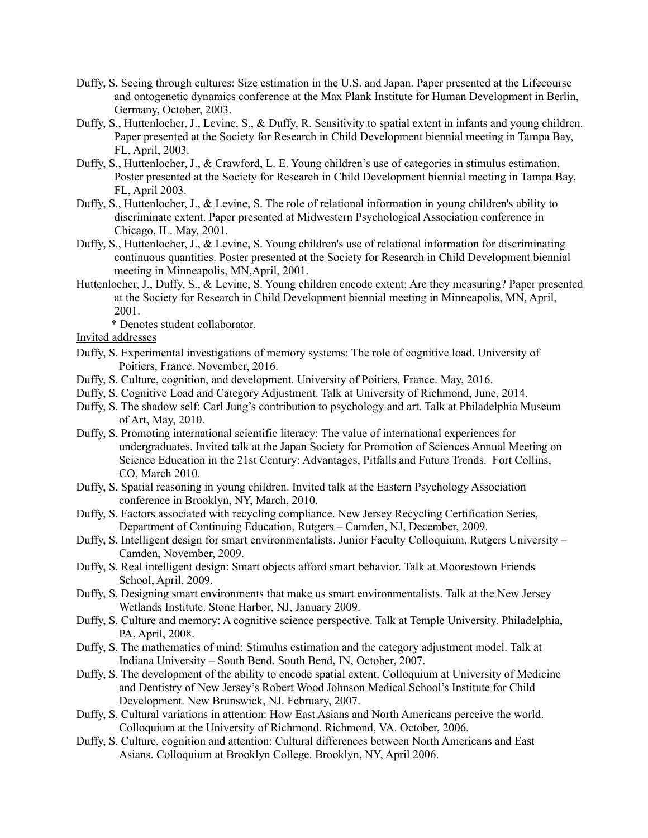- Duffy, S. Seeing through cultures: Size estimation in the U.S. and Japan. Paper presented at the Lifecourse and ontogenetic dynamics conference at the Max Plank Institute for Human Development in Berlin, Germany, October, 2003.
- Duffy, S., Huttenlocher, J., Levine, S., & Duffy, R. Sensitivity to spatial extent in infants and young children. Paper presented at the Society for Research in Child Development biennial meeting in Tampa Bay, FL, April, 2003.
- Duffy, S., Huttenlocher, J., & Crawford, L. E. Young children's use of categories in stimulus estimation. Poster presented at the Society for Research in Child Development biennial meeting in Tampa Bay, FL, April 2003.
- Duffy, S., Huttenlocher, J., & Levine, S. The role of relational information in young children's ability to discriminate extent. Paper presented at Midwestern Psychological Association conference in Chicago, IL. May, 2001.
- Duffy, S., Huttenlocher, J., & Levine, S. Young children's use of relational information for discriminating continuous quantities. Poster presented at the Society for Research in Child Development biennial meeting in Minneapolis, MN,April, 2001.
- Huttenlocher, J., Duffy, S., & Levine, S. Young children encode extent: Are they measuring? Paper presented at the Society for Research in Child Development biennial meeting in Minneapolis, MN, April, 2001.
	- \* Denotes student collaborator.
- Invited addresses
- Duffy, S. Experimental investigations of memory systems: The role of cognitive load. University of Poitiers, France. November, 2016.
- Duffy, S. Culture, cognition, and development. University of Poitiers, France. May, 2016.
- Duffy, S. Cognitive Load and Category Adjustment. Talk at University of Richmond, June, 2014.
- Duffy, S. The shadow self: Carl Jung's contribution to psychology and art. Talk at Philadelphia Museum of Art, May, 2010.
- Duffy, S. Promoting international scientific literacy: The value of international experiences for undergraduates. Invited talk at the Japan Society for Promotion of Sciences Annual Meeting on Science Education in the 21st Century: Advantages, Pitfalls and Future Trends. Fort Collins, CO, March 2010.
- Duffy, S. Spatial reasoning in young children. Invited talk at the Eastern Psychology Association conference in Brooklyn, NY, March, 2010.
- Duffy, S. Factors associated with recycling compliance. New Jersey Recycling Certification Series, Department of Continuing Education, Rutgers – Camden, NJ, December, 2009.
- Duffy, S. Intelligent design for smart environmentalists. Junior Faculty Colloquium, Rutgers University Camden, November, 2009.
- Duffy, S. Real intelligent design: Smart objects afford smart behavior. Talk at Moorestown Friends School, April, 2009.
- Duffy, S. Designing smart environments that make us smart environmentalists. Talk at the New Jersey Wetlands Institute. Stone Harbor, NJ, January 2009.
- Duffy, S. Culture and memory: A cognitive science perspective. Talk at Temple University. Philadelphia, PA, April, 2008.
- Duffy, S. The mathematics of mind: Stimulus estimation and the category adjustment model. Talk at Indiana University – South Bend. South Bend, IN, October, 2007.
- Duffy, S. The development of the ability to encode spatial extent. Colloquium at University of Medicine and Dentistry of New Jersey's Robert Wood Johnson Medical School's Institute for Child Development. New Brunswick, NJ. February, 2007.
- Duffy, S. Cultural variations in attention: How East Asians and North Americans perceive the world. Colloquium at the University of Richmond. Richmond, VA. October, 2006.
- Duffy, S. Culture, cognition and attention: Cultural differences between North Americans and East Asians. Colloquium at Brooklyn College. Brooklyn, NY, April 2006.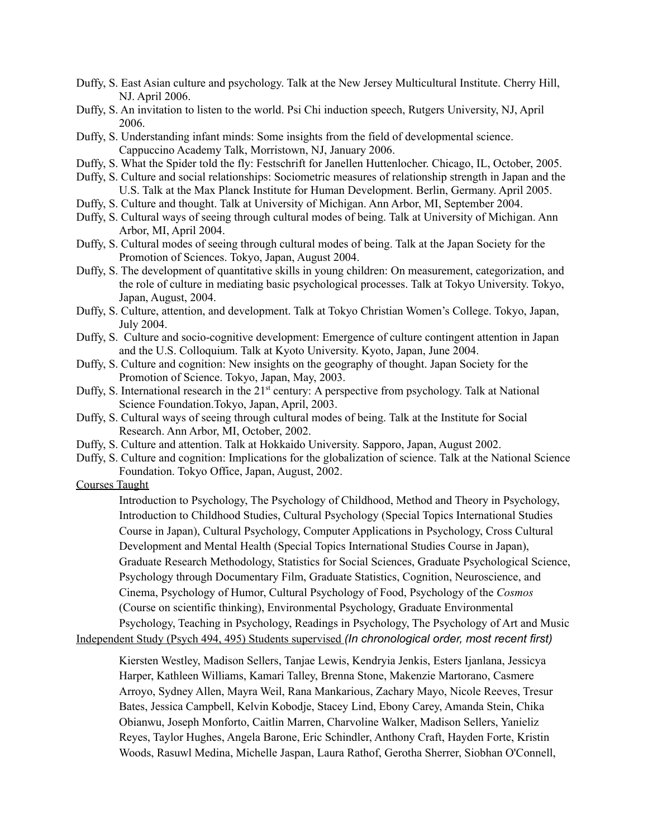- Duffy, S. East Asian culture and psychology. Talk at the New Jersey Multicultural Institute. Cherry Hill, NJ. April 2006.
- Duffy, S. An invitation to listen to the world. Psi Chi induction speech, Rutgers University, NJ, April 2006.
- Duffy, S. Understanding infant minds: Some insights from the field of developmental science. Cappuccino Academy Talk, Morristown, NJ, January 2006.
- Duffy, S. What the Spider told the fly: Festschrift for Janellen Huttenlocher. Chicago, IL, October, 2005.
- Duffy, S. Culture and social relationships: Sociometric measures of relationship strength in Japan and the U.S. Talk at the Max Planck Institute for Human Development. Berlin, Germany. April 2005.
- Duffy, S. Culture and thought. Talk at University of Michigan. Ann Arbor, MI, September 2004.
- Duffy, S. Cultural ways of seeing through cultural modes of being. Talk at University of Michigan. Ann Arbor, MI, April 2004.
- Duffy, S. Cultural modes of seeing through cultural modes of being. Talk at the Japan Society for the Promotion of Sciences. Tokyo, Japan, August 2004.
- Duffy, S. The development of quantitative skills in young children: On measurement, categorization, and the role of culture in mediating basic psychological processes. Talk at Tokyo University. Tokyo, Japan, August, 2004.
- Duffy, S. Culture, attention, and development. Talk at Tokyo Christian Women's College. Tokyo, Japan, July 2004.
- Duffy, S. Culture and socio-cognitive development: Emergence of culture contingent attention in Japan and the U.S. Colloquium. Talk at Kyoto University. Kyoto, Japan, June 2004.
- Duffy, S. Culture and cognition: New insights on the geography of thought. Japan Society for the Promotion of Science. Tokyo, Japan, May, 2003.
- Duffy, S. International research in the 21<sup>st</sup> century: A perspective from psychology. Talk at National Science Foundation.Tokyo, Japan, April, 2003.
- Duffy, S. Cultural ways of seeing through cultural modes of being. Talk at the Institute for Social Research. Ann Arbor, MI, October, 2002.
- Duffy, S. Culture and attention. Talk at Hokkaido University. Sapporo, Japan, August 2002.
- Duffy, S. Culture and cognition: Implications for the globalization of science. Talk at the National Science Foundation. Tokyo Office, Japan, August, 2002.

#### Courses Taught

Introduction to Psychology, The Psychology of Childhood, Method and Theory in Psychology, Introduction to Childhood Studies, Cultural Psychology (Special Topics International Studies Course in Japan), Cultural Psychology, Computer Applications in Psychology, Cross Cultural Development and Mental Health (Special Topics International Studies Course in Japan), Graduate Research Methodology, Statistics for Social Sciences, Graduate Psychological Science, Psychology through Documentary Film, Graduate Statistics, Cognition, Neuroscience, and Cinema, Psychology of Humor, Cultural Psychology of Food, Psychology of the *Cosmos* (Course on scientific thinking), Environmental Psychology, Graduate Environmental Psychology, Teaching in Psychology, Readings in Psychology, The Psychology of Art and Music Independent Study (Psych 494, 495) Students supervised *(In chronological order, most recent first)*

Kiersten Westley, Madison Sellers, Tanjae Lewis, Kendryia Jenkis, Esters Ijanlana, Jessicya Harper, Kathleen Williams, Kamari Talley, Brenna Stone, Makenzie Martorano, Casmere Arroyo, Sydney Allen, Mayra Weil, Rana Mankarious, Zachary Mayo, Nicole Reeves, Tresur Bates, Jessica Campbell, Kelvin Kobodje, Stacey Lind, Ebony Carey, Amanda Stein, Chika Obianwu, Joseph Monforto, Caitlin Marren, Charvoline Walker, Madison Sellers, Yanieliz Reyes, Taylor Hughes, Angela Barone, Eric Schindler, Anthony Craft, Hayden Forte, Kristin Woods, Rasuwl Medina, Michelle Jaspan, Laura Rathof, Gerotha Sherrer, Siobhan O'Connell,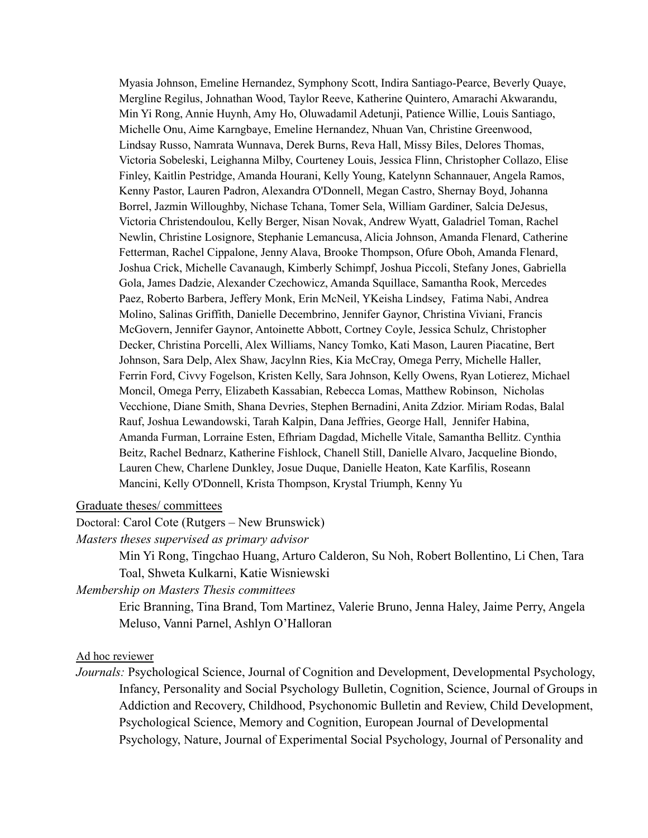Myasia Johnson, Emeline Hernandez, Symphony Scott, Indira Santiago-Pearce, Beverly Quaye, Mergline Regilus, Johnathan Wood, Taylor Reeve, Katherine Quintero, Amarachi Akwarandu, Min Yi Rong, Annie Huynh, Amy Ho, Oluwadamil Adetunji, Patience Willie, Louis Santiago, Michelle Onu, Aime Karngbaye, Emeline Hernandez, Nhuan Van, Christine Greenwood, Lindsay Russo, Namrata Wunnava, Derek Burns, Reva Hall, Missy Biles, Delores Thomas, Victoria Sobeleski, Leighanna Milby, Courteney Louis, Jessica Flinn, Christopher Collazo, Elise Finley, Kaitlin Pestridge, Amanda Hourani, Kelly Young, Katelynn Schannauer, Angela Ramos, Kenny Pastor, Lauren Padron, Alexandra O'Donnell, Megan Castro, Shernay Boyd, Johanna Borrel, Jazmin Willoughby, Nichase Tchana, Tomer Sela, William Gardiner, Salcia DeJesus, Victoria Christendoulou, Kelly Berger, Nisan Novak, Andrew Wyatt, Galadriel Toman, Rachel Newlin, Christine Losignore, Stephanie Lemancusa, Alicia Johnson, Amanda Flenard, Catherine Fetterman, Rachel Cippalone, Jenny Alava, Brooke Thompson, Ofure Oboh, Amanda Flenard, Joshua Crick, Michelle Cavanaugh, Kimberly Schimpf, Joshua Piccoli, Stefany Jones, Gabriella Gola, James Dadzie, Alexander Czechowicz, Amanda Squillace, Samantha Rook, Mercedes Paez, Roberto Barbera, Jeffery Monk, Erin McNeil, YKeisha Lindsey, Fatima Nabi, Andrea Molino, Salinas Griffith, Danielle Decembrino, Jennifer Gaynor, Christina Viviani, Francis McGovern, Jennifer Gaynor, Antoinette Abbott, Cortney Coyle, Jessica Schulz, Christopher Decker, Christina Porcelli, Alex Williams, Nancy Tomko, Kati Mason, Lauren Piacatine, Bert Johnson, Sara Delp, Alex Shaw, Jacylnn Ries, Kia McCray, Omega Perry, Michelle Haller, Ferrin Ford, Civvy Fogelson, Kristen Kelly, Sara Johnson, Kelly Owens, Ryan Lotierez, Michael Moncil, Omega Perry, Elizabeth Kassabian, Rebecca Lomas, Matthew Robinson, Nicholas Vecchione, Diane Smith, Shana Devries, Stephen Bernadini, Anita Zdzior. Miriam Rodas, Balal Rauf, Joshua Lewandowski, Tarah Kalpin, Dana Jeffries, George Hall, Jennifer Habina, Amanda Furman, Lorraine Esten, Efhriam Dagdad, Michelle Vitale, Samantha Bellitz. Cynthia Beitz, Rachel Bednarz, Katherine Fishlock, Chanell Still, Danielle Alvaro, Jacqueline Biondo, Lauren Chew, Charlene Dunkley, Josue Duque, Danielle Heaton, Kate Karfilis, Roseann Mancini, Kelly O'Donnell, Krista Thompson, Krystal Triumph, Kenny Yu

Graduate theses/ committees

Doctoral: Carol Cote (Rutgers – New Brunswick)

*Masters theses supervised as primary advisor*

Min Yi Rong, Tingchao Huang, Arturo Calderon, Su Noh, Robert Bollentino, Li Chen, Tara Toal, Shweta Kulkarni, Katie Wisniewski

*Membership on Masters Thesis committees*

Eric Branning, Tina Brand, Tom Martinez, Valerie Bruno, Jenna Haley, Jaime Perry, Angela Meluso, Vanni Parnel, Ashlyn O'Halloran

#### Ad hoc reviewer

*Journals:* Psychological Science, Journal of Cognition and Development, Developmental Psychology, Infancy, Personality and Social Psychology Bulletin, Cognition, Science, Journal of Groups in Addiction and Recovery, Childhood, Psychonomic Bulletin and Review, Child Development, Psychological Science, Memory and Cognition, European Journal of Developmental Psychology, Nature, Journal of Experimental Social Psychology, Journal of Personality and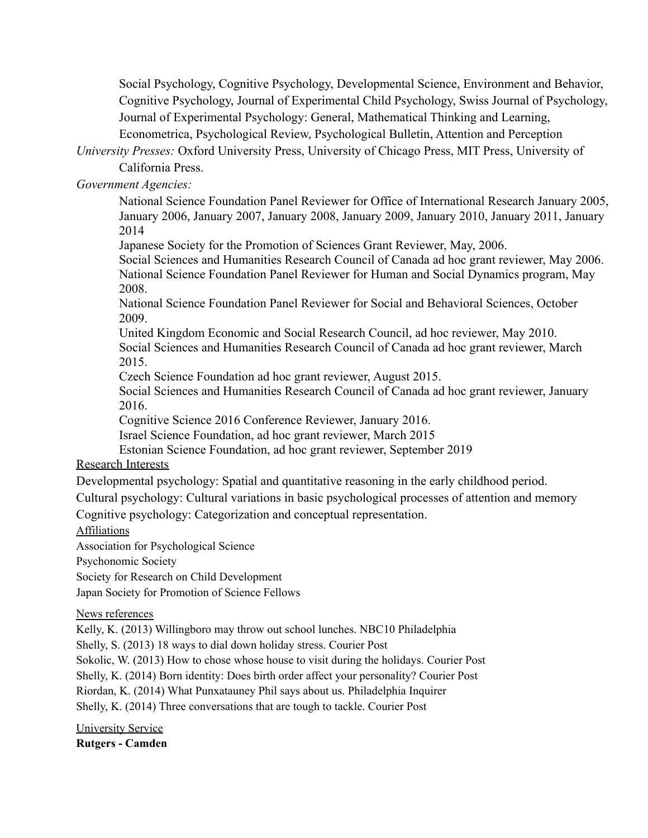Social Psychology, Cognitive Psychology, Developmental Science, Environment and Behavior, Cognitive Psychology, Journal of Experimental Child Psychology, Swiss Journal of Psychology, Journal of Experimental Psychology: General, Mathematical Thinking and Learning, Econometrica, Psychological Review, Psychological Bulletin, Attention and Perception

*University Presses:* Oxford University Press, University of Chicago Press, MIT Press, University of California Press.

*Government Agencies:*

National Science Foundation Panel Reviewer for Office of International Research January 2005, January 2006, January 2007, January 2008, January 2009, January 2010, January 2011, January 2014

Japanese Society for the Promotion of Sciences Grant Reviewer, May, 2006.

Social Sciences and Humanities Research Council of Canada ad hoc grant reviewer, May 2006. National Science Foundation Panel Reviewer for Human and Social Dynamics program, May 2008.

National Science Foundation Panel Reviewer for Social and Behavioral Sciences, October 2009.

United Kingdom Economic and Social Research Council, ad hoc reviewer, May 2010. Social Sciences and Humanities Research Council of Canada ad hoc grant reviewer, March 2015.

Czech Science Foundation ad hoc grant reviewer, August 2015.

Social Sciences and Humanities Research Council of Canada ad hoc grant reviewer, January 2016.

Cognitive Science 2016 Conference Reviewer, January 2016.

Israel Science Foundation, ad hoc grant reviewer, March 2015

Estonian Science Foundation, ad hoc grant reviewer, September 2019

# Research Interests

Developmental psychology: Spatial and quantitative reasoning in the early childhood period.

Cultural psychology: Cultural variations in basic psychological processes of attention and memory

Cognitive psychology: Categorization and conceptual representation.

Affiliations

Association for Psychological Science

Psychonomic Society

Society for Research on Child Development

Japan Society for Promotion of Science Fellows

News references

Kelly, K. (2013) Willingboro may throw out school lunches. NBC10 Philadelphia

Shelly, S. (2013) 18 ways to dial down holiday stress. Courier Post

Sokolic, W. (2013) How to chose whose house to visit during the holidays. Courier Post

Shelly, K. (2014) Born identity: Does birth order affect your personality? Courier Post

Riordan, K. (2014) What Punxatauney Phil says about us. Philadelphia Inquirer

Shelly, K. (2014) Three conversations that are tough to tackle. Courier Post

University Service **Rutgers - Camden**